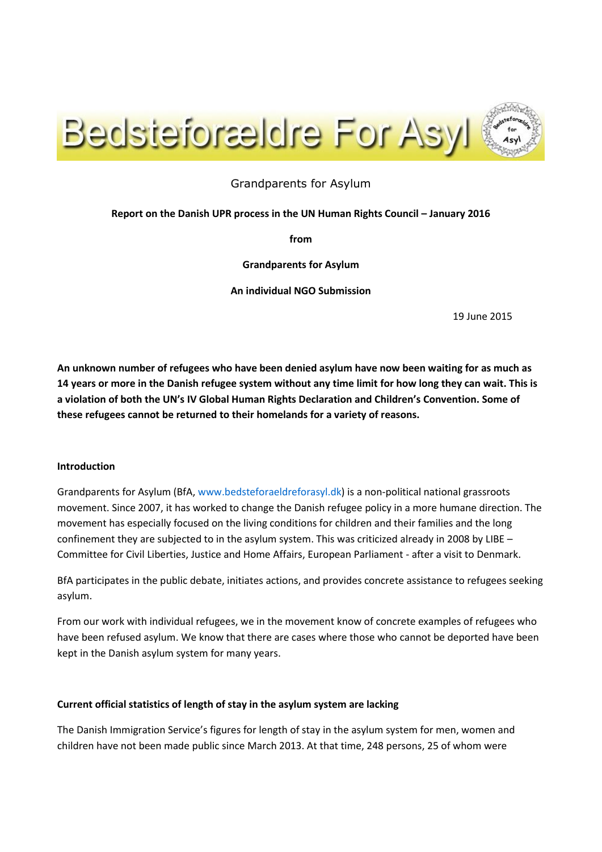

# Grandparents for Asylum

### **Report on the Danish UPR process in the UN Human Rights Council – January 2016**

**from**

**Grandparents for Asylum**

**An individual NGO Submission**

19 June 2015

**An unknown number of refugees who have been denied asylum have now been waiting for as much as 14 years or more in the Danish refugee system without any time limit for how long they can wait. This is a violation of both the UN's IV Global Human Rights Declaration and Children's Convention. Some of these refugees cannot be returned to their homelands for a variety of reasons.** 

### **Introduction**

Grandparents for Asylum (BfA, [www.bedsteforaeldreforasyl.dk\)](http://www.bedsteforaeldreforasyl.dk/) is a non-political national grassroots movement. Since 2007, it has worked to change the Danish refugee policy in a more humane direction. The movement has especially focused on the living conditions for children and their families and the long confinement they are subjected to in the asylum system. This was criticized already in 2008 by LIBE – Committee for Civil Liberties, Justice and Home Affairs, European Parliament - after a visit to Denmark.

BfA participates in the public debate, initiates actions, and provides concrete assistance to refugees seeking asylum.

From our work with individual refugees, we in the movement know of concrete examples of refugees who have been refused asylum. We know that there are cases where those who cannot be deported have been kept in the Danish asylum system for many years.

### **Current official statistics of length of stay in the asylum system are lacking**

The Danish Immigration Service's figures for length of stay in the asylum system for men, women and children have not been made public since March 2013. At that time, 248 persons, 25 of whom were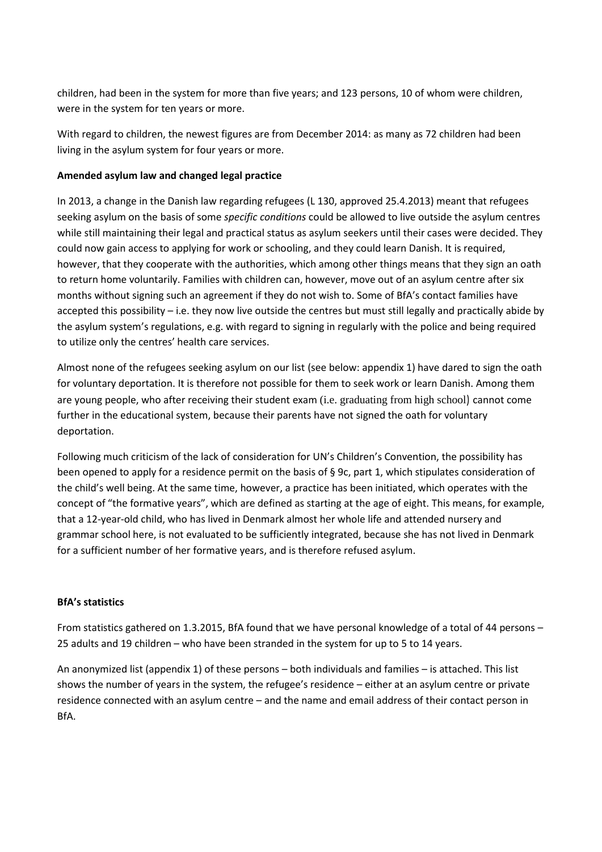children, had been in the system for more than five years; and 123 persons, 10 of whom were children, were in the system for ten years or more.

With regard to children, the newest figures are from December 2014: as many as 72 children had been living in the asylum system for four years or more.

## **Amended asylum law and changed legal practice**

In 2013, a change in the Danish law regarding refugees (L 130, approved 25.4.2013) meant that refugees seeking asylum on the basis of some *specific conditions* could be allowed to live outside the asylum centres while still maintaining their legal and practical status as asylum seekers until their cases were decided. They could now gain access to applying for work or schooling, and they could learn Danish. It is required, however, that they cooperate with the authorities, which among other things means that they sign an oath to return home voluntarily. Families with children can, however, move out of an asylum centre after six months without signing such an agreement if they do not wish to. Some of BfA's contact families have accepted this possibility – i.e. they now live outside the centres but must still legally and practically abide by the asylum system's regulations, e.g. with regard to signing in regularly with the police and being required to utilize only the centres' health care services.

Almost none of the refugees seeking asylum on our list (see below: appendix 1) have dared to sign the oath for voluntary deportation. It is therefore not possible for them to seek work or learn Danish. Among them are young people, who after receiving their student exam (i.e. graduating from high school) cannot come further in the educational system, because their parents have not signed the oath for voluntary deportation.

Following much criticism of the lack of consideration for UN's Children's Convention, the possibility has been opened to apply for a residence permit on the basis of § 9c, part 1, which stipulates consideration of the child's well being. At the same time, however, a practice has been initiated, which operates with the concept of "the formative years", which are defined as starting at the age of eight. This means, for example, that a 12-year-old child, who has lived in Denmark almost her whole life and attended nursery and grammar school here, is not evaluated to be sufficiently integrated, because she has not lived in Denmark for a sufficient number of her formative years, and is therefore refused asylum.

### **BfA's statistics**

From statistics gathered on 1.3.2015, BfA found that we have personal knowledge of a total of 44 persons – 25 adults and 19 children – who have been stranded in the system for up to 5 to 14 years.

An anonymized list (appendix 1) of these persons – both individuals and families – is attached. This list shows the number of years in the system, the refugee's residence – either at an asylum centre or private residence connected with an asylum centre – and the name and email address of their contact person in BfA.